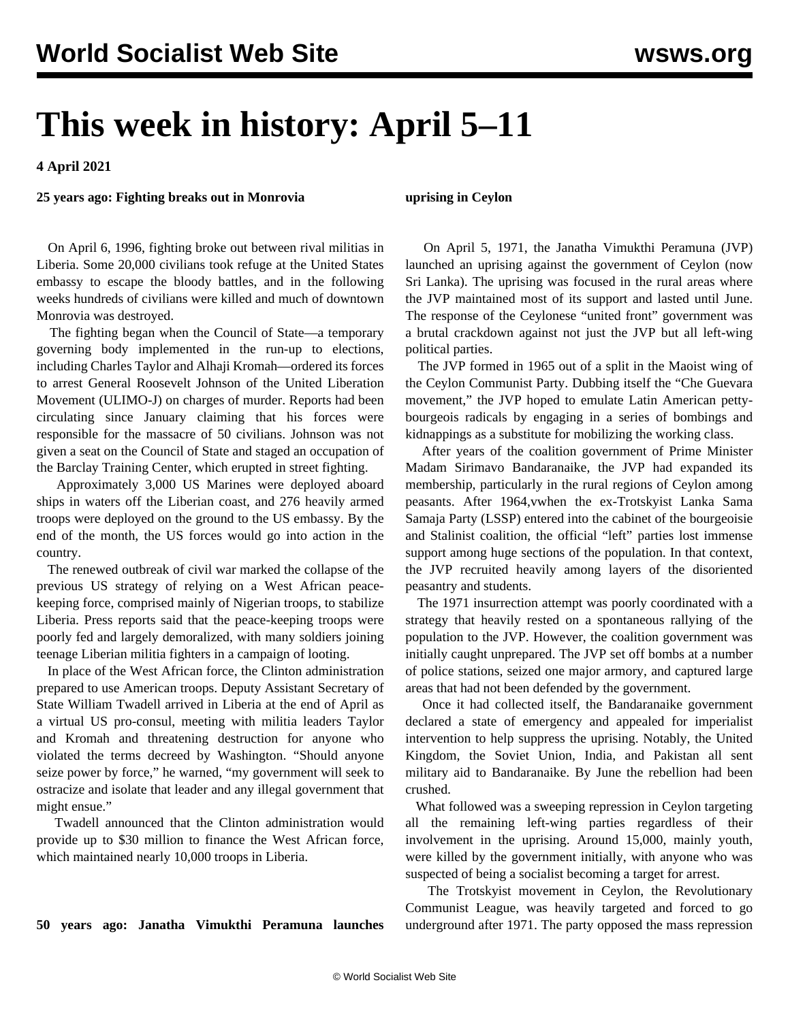# **This week in history: April 5–11**

**4 April 2021**

#### **25 years ago: Fighting breaks out in Monrovia**

**uprising in Ceylon**

 On April 6, 1996, fighting broke out between rival militias in Liberia. Some 20,000 civilians took refuge at the United States embassy to escape the bloody battles, and in the following weeks hundreds of civilians were killed and much of downtown Monrovia was destroyed.

 The fighting began when the Council of State—a temporary governing body implemented in the run-up to elections, including Charles Taylor and Alhaji Kromah—ordered its forces to arrest General Roosevelt Johnson of the United Liberation Movement (ULIMO-J) on charges of murder. Reports had been circulating since January claiming that his forces were responsible for the massacre of 50 civilians. Johnson was not given a seat on the Council of State and staged an occupation of the Barclay Training Center, which erupted in street fighting.

 Approximately 3,000 US Marines were deployed aboard ships in waters off the Liberian coast, and 276 heavily armed troops were deployed on the ground to the US embassy. By the end of the month, the US forces would go into action in the country.

 The renewed outbreak of civil war marked the collapse of the previous US strategy of relying on a West African peacekeeping force, comprised mainly of Nigerian troops, to stabilize Liberia. Press reports said that the peace-keeping troops were poorly fed and largely demoralized, with many soldiers joining teenage Liberian militia fighters in a campaign of looting.

 In place of the West African force, the Clinton administration prepared to use American troops. Deputy Assistant Secretary of State William Twadell arrived in Liberia at the end of April as a virtual US pro-consul, meeting with militia leaders Taylor and Kromah and threatening destruction for anyone who violated the terms decreed by Washington. "Should anyone seize power by force," he warned, "my government will seek to ostracize and isolate that leader and any illegal government that might ensue."

 Twadell announced that the Clinton administration would provide up to \$30 million to finance the West African force, which maintained nearly 10,000 troops in Liberia.

#### **50 years ago: Janatha Vimukthi Peramuna launches**

 On April 5, 1971, the Janatha Vimukthi Peramuna (JVP) launched an uprising against the government of Ceylon (now Sri Lanka). The uprising was focused in the rural areas where the JVP maintained most of its support and lasted until June. The response of the Ceylonese "united front" government was a brutal crackdown against not just the JVP but all left-wing political parties.

 The JVP formed in 1965 out of a split in the Maoist wing of the Ceylon Communist Party. Dubbing itself the "Che Guevara movement," the JVP hoped to emulate Latin American pettybourgeois radicals by engaging in a series of bombings and kidnappings as a substitute for mobilizing the working class.

 After years of the coalition government of Prime Minister Madam Sirimavo Bandaranaike, the JVP had expanded its membership, particularly in the rural regions of Ceylon among peasants. After 1964,vwhen the ex-Trotskyist Lanka Sama Samaja Party (LSSP) entered into the cabinet of the bourgeoisie and Stalinist coalition, the official "left" parties lost immense support among huge sections of the population. In that context, the JVP recruited heavily among layers of the disoriented peasantry and students.

 The 1971 insurrection attempt was poorly coordinated with a strategy that heavily rested on a spontaneous rallying of the population to the JVP. However, the coalition government was initially caught unprepared. The JVP set off bombs at a number of police stations, seized one major armory, and captured large areas that had not been defended by the government.

 Once it had collected itself, the Bandaranaike government declared a state of emergency and appealed for imperialist intervention to help suppress the uprising. Notably, the United Kingdom, the Soviet Union, India, and Pakistan all sent military aid to Bandaranaike. By June the rebellion had been crushed.

 What followed was a sweeping repression in Ceylon targeting all the remaining left-wing parties regardless of their involvement in the uprising. Around 15,000, mainly youth, were killed by the government initially, with anyone who was suspected of being a socialist becoming a target for arrest.

 The Trotskyist movement in Ceylon, the Revolutionary Communist League, was heavily targeted and forced to go underground after 1971. The party opposed the mass repression